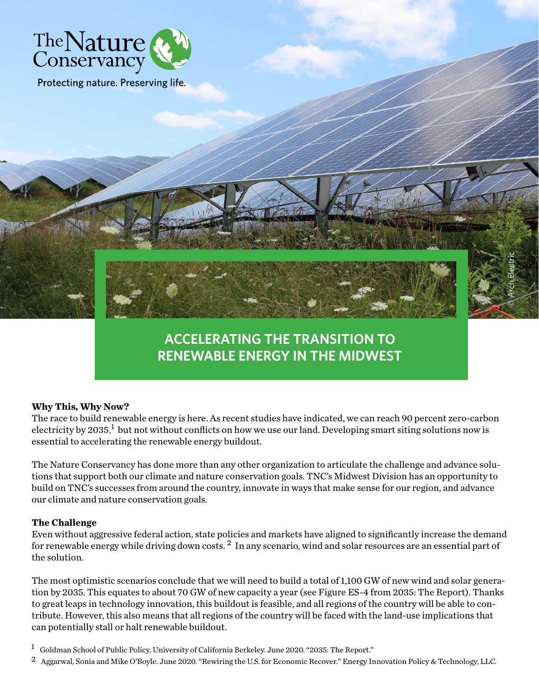

Protecting nature. Preserving life.

## **ACCELERATING THE TRANSITION TO RENEWABLE ENERGY IN THE MIDWEST**

© Arch Electric

## **Why This, Why Now?**

The race to build renewable energy is here. As recent studies have indicated, we can reach 90 percent zero-carbon electricity by 2035, but not without conflicts on how we use our land. Developing smart siting solutions now is essential to accelerating the renewable energy buildout.

The Nature Conservancy has done more than any other organization to articulate the challenge and advance solutions that support both our climate and nature conservation goals. TNC's Midwest Division has an opportunity to build on TNC's successes from around the country, innovate in ways that make sense for our region, and advance our climate and nature conservation goals.

## **The Challenge**

Even without aggressive federal action, state policies and markets have aligned to significantly increase the demand for renewable energy while driving down costs. 2 In any scenario, wind and solar resources are an essential part of the solution.

The most optimistic scenarios conclude that we will need to build a total of 1,100 GW of new wind and solar generation by 2035. This equates to about 70 GW of new capacity a year (see Figure ES-4 from 2035: The Report). Thanks to great leaps in technology innovation, this buildout is feasible, and all regions of the country will be able to contribute. However, this also means that all regions of the country will be faced with the land-use implications that can potentially stall or halt renewable buildout.

1 Goldman School of Public Policy, University of California Berkeley. June 2020. "2035: The Report."

<sup>2</sup> Aggarwal, Sonia and Mike O'Boyle. June 2020. "Rewiring the U.S. for Economic Recover." Energy Innovation Policy & Technology, LLC.